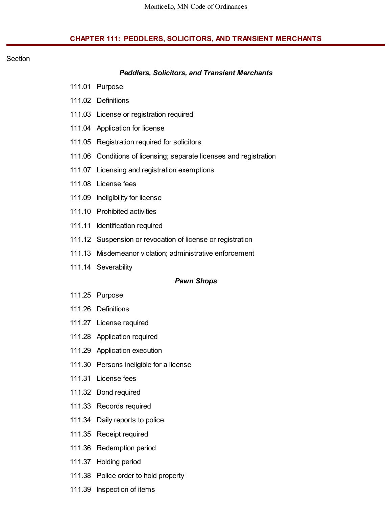## **CHAPTER 111: PEDDLERS, SOLICITORS, AND TRANSIENT MERCHANTS**

#### **Section**

#### *Peddlers, Solicitors, and Transient Merchants*

- 111.01 Purpose
- 111.02 Definitions
- 111.03 License or registration required
- 111.04 Application for license
- 111.05 Registration required for solicitors
- 111.06 Conditions of licensing; separate licenses and registration
- 111.07 Licensing and registration exemptions
- 111.08 License fees
- 111.09 Ineligibility for license
- 111.10 Prohibited activities
- 111.11 Identification required
- 111.12 Suspension or revocation of license or registration
- 111.13 Misdemeanor violation; administrative enforcement
- 111.14 Severability

#### *Pawn Shops*

- 111.25 Purpose
- 111.26 Definitions
- 111.27 License required
- 111.28 Application required
- 111.29 Application execution
- 111.30 Persons ineligible for a license
- 111.31 License fees
- 111.32 Bond required
- 111.33 Records required
- 111.34 Daily reports to police
- 111.35 Receipt required
- 111.36 Redemption period
- 111.37 Holding period
- 111.38 Police order to hold property
- 111.39 Inspection of items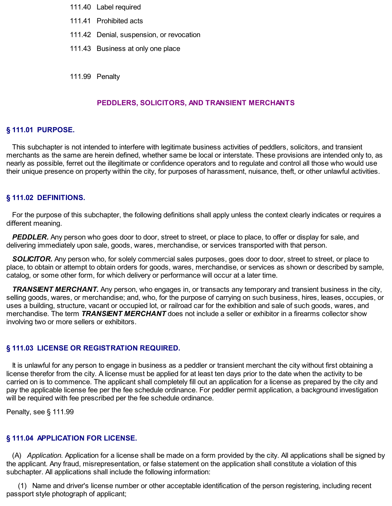- 111.40 Label required
- 111.41 Prohibited acts
- 111.42 Denial, suspension, or revocation
- 111.43 Business at only one place
- 111.99 Penalty

## **PEDDLERS, SOLICITORS, AND TRANSIENT MERCHANTS**

#### **§ 111.01 PURPOSE.**

This subchapter is not intended to interfere with legitimate business activities of peddlers, solicitors, and transient merchants as the same are herein defined, whether same be local or interstate. These provisions are intended only to, as nearly as possible, ferret out the illegitimate or confidence operators and to regulate and control all those who would use their unique presence on property within the city, for purposes of harassment, nuisance, theft, or other unlawful activities.

#### **§ 111.02 DEFINITIONS.**

For the purpose of this subchapter, the following definitions shall apply unless the context clearly indicates or requires a different meaning.

*PEDDLER.* Any person who goes door to door, street to street, or place to place, to offer or display for sale, and delivering immediately upon sale, goods, wares, merchandise, or services transported with that person.

*SOLICITOR.* Any person who, for solely commercial sales purposes, goes door to door, street to street, or place to place, to obtain or attempt to obtain orders for goods, wares, merchandise, or services as shown or described by sample, catalog, or some other form, for which delivery or performance will occur at a later time.

*TRANSIENT MERCHANT.* Any person, who engages in, or transacts any temporary and transient business in the city, selling goods, wares, or merchandise; and, who, for the purpose of carrying on such business, hires, leases, occupies, or uses a building, structure, vacant or occupied lot, or railroad car for the exhibition and sale of such goods, wares, and merchandise. The term *TRANSIENT MERCHANT* does not include a seller or exhibitor in a firearms collector show involving two or more sellers or exhibitors.

#### **§ 111.03 LICENSE OR REGISTRATION REQUIRED.**

It is unlawful for any person to engage in business as a peddler or transient merchant the city without first obtaining a license therefor from the city. A license must be applied for at least ten days prior to the date when the activity to be carried on is to commence. The applicant shall completely fill out an application for a license as prepared by the city and pay the applicable license fee per the fee schedule ordinance. For peddler permit application, a background investigation will be required with fee prescribed per the fee schedule ordinance.

Penalty, see § 111.99

#### **§ 111.04 APPLICATION FOR LICENSE.**

(A) *Application.* Application for a license shall be made on a form provided by the city. All applications shall be signed by the applicant. Any fraud, misrepresentation, or false statement on the application shall constitute a violation of this subchapter. All applications shall include the following information:

(1) Name and driver's license number or other acceptable identification of the person registering, including recent passport style photograph of applicant;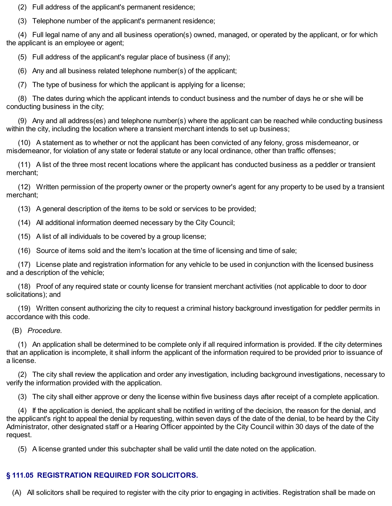(2) Full address of the applicant's permanent residence;

(3) Telephone number of the applicant's permanent residence;

(4) Full legal name of any and all business operation(s) owned, managed, or operated by the applicant, or for which the applicant is an employee or agent;

(5) Full address of the applicant's regular place of business (if any);

(6) Any and all business related telephone number(s) of the applicant;

(7) The type of business for which the applicant is applying for a license;

(8) The dates during which the applicant intends to conduct business and the number of days he or she will be conducting business in the city;

(9) Any and all address(es) and telephone number(s) where the applicant can be reached while conducting business within the city, including the location where a transient merchant intends to set up business;

(10) A statement as to whether or not the applicant has been convicted of any felony, gross misdemeanor, or misdemeanor, for violation of any state or federal statute or any local ordinance, other than traffic offenses;

(11) A list of the three most recent locations where the applicant has conducted business as a peddler or transient merchant;

(12) Written permission of the property owner or the property owner's agent for any property to be used by a transient merchant;

(13) A general description of the items to be sold or services to be provided;

(14) All additional information deemed necessary by the City Council;

(15) A list of all individuals to be covered by a group license;

(16) Source of items sold and the item's location at the time of licensing and time of sale;

(17) License plate and registration information for any vehicle to be used in conjunction with the licensed business and a description of the vehicle;

(18) Proof of any required state or county license for transient merchant activities (not applicable to door to door solicitations); and

(19) Written consent authorizing the city to request a criminal history background investigation for peddler permits in accordance with this code.

(B) *Procedure.*

(1) An application shall be determined to be complete only if all required information is provided. If the city determines that an application is incomplete, it shall inform the applicant of the information required to be provided prior to issuance of a license.

(2) The city shall review the application and order any investigation, including background investigations, necessary to verify the information provided with the application.

(3) The city shall either approve or deny the license within five business days after receipt of a complete application.

(4) If the application is denied, the applicant shall be notified in writing of the decision, the reason for the denial, and the applicant's right to appeal the denial by requesting, within seven days of the date of the denial, to be heard by the City Administrator, other designated staff or a Hearing Officer appointed by the City Council within 30 days of the date of the request.

(5) A license granted under this subchapter shall be valid until the date noted on the application.

# **§ 111.05 REGISTRATION REQUIRED FOR SOLICITORS.**

(A) All solicitors shall be required to register with the city prior to engaging in activities. Registration shall be made on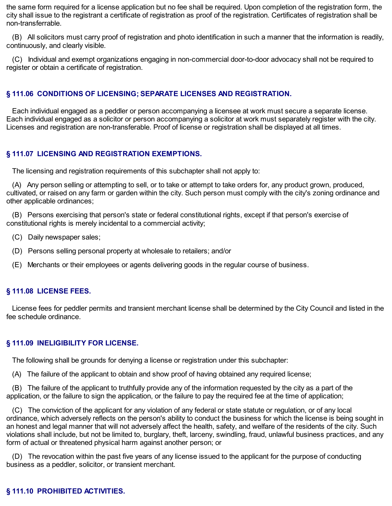the same form required for a license application but no fee shall be required. Upon completion of the registration form, the city shall issue to the registrant a certificate of registration as proof of the registration. Certificates of registration shall be non-transferrable.

(B) All solicitors must carry proof of registration and photo identification in such a manner that the information is readily, continuously, and clearly visible.

(C) Individual and exempt organizations engaging in non-commercial door-to-door advocacy shall not be required to register or obtain a certificate of registration.

## **§ 111.06 CONDITIONS OF LICENSING; SEPARATE LICENSES AND REGISTRATION.**

Each individual engaged as a peddler or person accompanying a licensee at work must secure a separate license. Each individual engaged as a solicitor or person accompanying a solicitor at work must separately register with the city. Licenses and registration are non-transferable. Proof of license or registration shall be displayed at all times.

## **§ 111.07 LICENSING AND REGISTRATION EXEMPTIONS.**

The licensing and registration requirements of this subchapter shall not apply to:

(A) Any person selling or attempting to sell, or to take or attempt to take orders for, any product grown, produced, cultivated, or raised on any farm or garden within the city. Such person must comply with the city's zoning ordinance and other applicable ordinances;

(B) Persons exercising that person's state or federal constitutional rights, except if that person's exercise of constitutional rights is merely incidental to a commercial activity;

- (C) Daily newspaper sales;
- (D) Persons selling personal property at wholesale to retailers; and/or
- (E) Merchants or their employees or agents delivering goods in the regular course of business.

#### **§ 111.08 LICENSE FEES.**

License fees for peddler permits and transient merchant license shall be determined by the City Council and listed in the fee schedule ordinance.

#### **§ 111.09 INELIGIBILITY FOR LICENSE.**

The following shall be grounds for denying a license or registration under this subchapter:

(A) The failure of the applicant to obtain and show proof of having obtained any required license;

(B) The failure of the applicant to truthfully provide any of the information requested by the city as a part of the application, or the failure to sign the application, or the failure to pay the required fee at the time of application;

(C) The conviction of the applicant for any violation of any federal or state statute or regulation, or of any local ordinance, which adversely reflects on the person's ability to conduct the business for which the license is being sought in an honest and legal manner that will not adversely affect the health, safety, and welfare of the residents of the city. Such violations shall include, but not be limited to, burglary, theft, larceny, swindling, fraud, unlawful business practices, and any form of actual or threatened physical harm against another person; or

(D) The revocation within the past five years of any license issued to the applicant for the purpose of conducting business as a peddler, solicitor, or transient merchant.

# **§ 111.10 PROHIBITED ACTIVITIES.**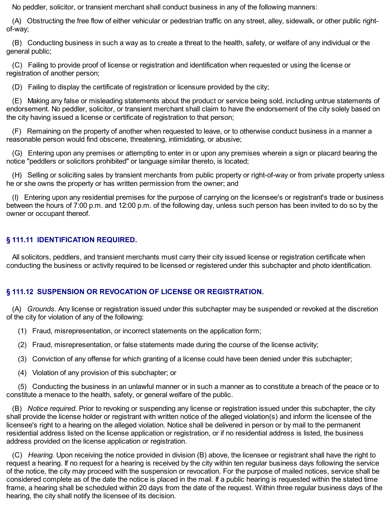No peddler, solicitor, or transient merchant shall conduct business in any of the following manners:

(A) Obstructing the free flow of either vehicular or pedestrian traffic on any street, alley, sidewalk, or other public rightof-way;

(B) Conducting business in such a way as to create a threat to the health, safety, or welfare of any individual or the general public;

(C) Failing to provide proof of license or registration and identification when requested or using the license or registration of another person;

(D) Failing to display the certificate of registration or licensure provided by the city;

(E) Making any false or misleading statements about the product or service being sold, including untrue statements of endorsement. No peddler, solicitor, or transient merchant shall claim to have the endorsement of the city solely based on the city having issued a license or certificate of registration to that person;

(F) Remaining on the property of another when requested to leave, or to otherwise conduct business in a manner a reasonable person would find obscene, threatening, intimidating, or abusive;

(G) Entering upon any premises or attempting to enter in or upon any premises wherein a sign or placard bearing the notice "peddlers or solicitors prohibited" or language similar thereto, is located;

(H) Selling or soliciting sales by transient merchants from public property or right-of-way or from private property unless he or she owns the property or has written permission from the owner; and

(I) Entering upon any residential premises for the purpose of carrying on the licensee's or registrant's trade or business between the hours of 7:00 p.m. and 12:00 p.m. of the following day, unless such person has been invited to do so by the owner or occupant thereof.

# **§ 111.11 IDENTIFICATION REQUIRED.**

All solicitors, peddlers, and transient merchants must carry their city issued license or registration certificate when conducting the business or activity required to be licensed or registered under this subchapter and photo identification.

# **§ 111.12 SUSPENSION OR REVOCATION OF LICENSE OR REGISTRATION.**

(A) *Grounds.* Any license or registration issued under this subchapter may be suspended or revoked at the discretion of the city for violation of any of the following:

- (1) Fraud, misrepresentation, or incorrect statements on the application form;
- (2) Fraud, misrepresentation, or false statements made during the course of the license activity;
- (3) Conviction of any offense for which granting of a license could have been denied under this subchapter;
- (4) Violation of any provision of this subchapter; or

(5) Conducting the business in an unlawful manner or in such a manner as to constitute a breach of the peace or to constitute a menace to the health, safety, or general welfare of the public.

(B) *Notice required.* Prior to revoking or suspending any license or registration issued under this subchapter, the city shall provide the license holder or registrant with written notice of the alleged violation(s) and inform the licensee of the licensee's right to a hearing on the alleged violation. Notice shall be delivered in person or by mail to the permanent residential address listed on the license application or registration, or if no residential address is listed, the business address provided on the license application or registration.

(C) *Hearing.* Upon receiving the notice provided in division (B) above, the licensee or registrant shall have the right to request a hearing. If no request for a hearing is received by the city within ten regular business days following the service of the notice, the city may proceed with the suspension or revocation. For the purpose of mailed notices, service shall be considered complete as of the date the notice is placed in the mail. If a public hearing is requested within the stated time frame, a hearing shall be scheduled within 20 days from the date of the request. Within three regular business days of the hearing, the city shall notify the licensee of its decision.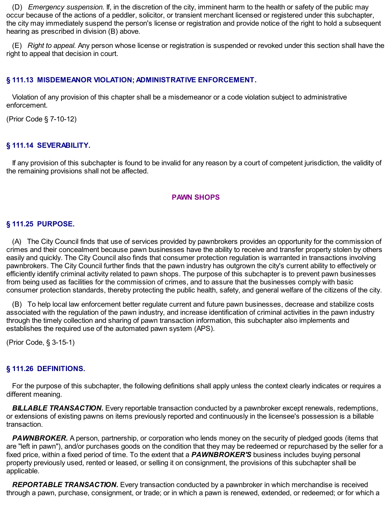(D) *Emergency suspension.* If, in the discretion of the city, imminent harm to the health or safety of the public may occur because of the actions of a peddler, solicitor, or transient merchant licensed or registered under this subchapter, the city may immediately suspend the person's license or registration and provide notice of the right to hold a subsequent hearing as prescribed in division (B) above.

(E) *Right to appeal.* Any person whose license or registration is suspended or revoked under this section shall have the right to appeal that decision in court.

### **§ 111.13 MISDEMEANOR VIOLATION; ADMINISTRATIVE ENFORCEMENT.**

Violation of any provision of this chapter shall be a misdemeanor or a code violation subject to administrative enforcement.

(Prior Code § 7-10-12)

## **§ 111.14 SEVERABILITY.**

If any provision of this subchapter is found to be invalid for any reason by a court of competent jurisdiction, the validity of the remaining provisions shall not be affected.

#### **PAWN SHOPS**

#### **§ 111.25 PURPOSE.**

(A) The City Council finds that use of services provided by pawnbrokers provides an opportunity for the commission of crimes and their concealment because pawn businesses have the ability to receive and transfer property stolen by others easily and quickly. The City Council also finds that consumer protection regulation is warranted in transactions involving pawnbrokers. The City Council further finds that the pawn industry has outgrown the city's current ability to effectively or efficiently identify criminal activity related to pawn shops. The purpose of this subchapter is to prevent pawn businesses from being used as facilities for the commission of crimes, and to assure that the businesses comply with basic consumer protection standards, thereby protecting the public health, safety, and general welfare of the citizens of the city.

(B) To help local law enforcement better regulate current and future pawn businesses, decrease and stabilize costs associated with the regulation of the pawn industry, and increase identification of criminal activities in the pawn industry through the timely collection and sharing of pawn transaction information, this subchapter also implements and establishes the required use of the automated pawn system (APS).

(Prior Code, § 3-15-1)

#### **§ 111.26 DEFINITIONS.**

For the purpose of this subchapter, the following definitions shall apply unless the context clearly indicates or requires a different meaning.

*BILLABLE TRANSACTION.* Every reportable transaction conducted by a pawnbroker except renewals, redemptions, or extensions of existing pawns on items previously reported and continuously in the licensee's possession is a billable transaction.

*PAWNBROKER.* A person, partnership, or corporation who lends money on the security of pledged goods (items that are "left in pawn"), and/or purchases goods on the condition that they may be redeemed or repurchased by the seller for a fixed price, within a fixed period of time. To the extent that a *PAWNBROKER'S* business includes buying personal property previously used, rented or leased, or selling it on consignment, the provisions of this subchapter shall be applicable.

*REPORTABLE TRANSACTION.* Every transaction conducted by a pawnbroker in which merchandise is received through a pawn, purchase, consignment, or trade; or in which a pawn is renewed, extended, or redeemed; or for which a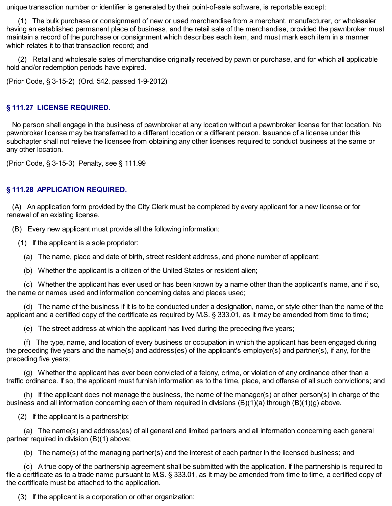unique transaction number or identifier is generated by their point-of-sale software, is reportable except:

(1) The bulk purchase or consignment of new or used merchandise from a merchant, manufacturer, or wholesaler having an established permanent place of business, and the retail sale of the merchandise, provided the pawnbroker must maintain a record of the purchase or consignment which describes each item, and must mark each item in a manner which relates it to that transaction record; and

(2) Retail and wholesale sales of merchandise originally received by pawn or purchase, and for which all applicable hold and/or redemption periods have expired.

(Prior Code, § 3-15-2) (Ord. 542, passed 1-9-2012)

### **§ 111.27 LICENSE REQUIRED.**

No person shall engage in the business of pawnbroker at any location without a pawnbroker license for that location. No pawnbroker license may be transferred to a different location or a different person. Issuance of a license under this subchapter shall not relieve the licensee from obtaining any other licenses required to conduct business at the same or any other location.

(Prior Code, § 3-15-3) Penalty, see § 111.99

#### **§ 111.28 APPLICATION REQUIRED.**

(A) An application form provided by the City Clerk must be completed by every applicant for a new license or for renewal of an existing license.

(B) Every new applicant must provide all the following information:

(1) If the applicant is a sole proprietor:

- (a) The name, place and date of birth, street resident address, and phone number of applicant;
- (b) Whether the applicant is a citizen of the United States or resident alien;

(c) Whether the applicant has ever used or has been known by a name other than the applicant's name, and if so, the name or names used and information concerning dates and places used;

(d) The name of the business if it is to be conducted under a designation, name, or style other than the name of the applicant and a certified copy of the certificate as required by M.S. § 333.01, as it may be amended from time to time;

(e) The street address at which the applicant has lived during the preceding five years;

(f) The type, name, and location of every business or occupation in which the applicant has been engaged during the preceding five years and the name(s) and address(es) of the applicant's employer(s) and partner(s), if any, for the preceding five years;

(g) Whether the applicant has ever been convicted of a felony, crime, or violation of any ordinance other than a traffic ordinance. If so, the applicant must furnish information as to the time, place, and offense of all such convictions; and

(h) If the applicant does not manage the business, the name of the manager(s) or other person(s) in charge of the business and all information concerning each of them required in divisions (B)(1)(a) through (B)(1)(g) above.

(2) If the applicant is a partnership:

(a) The name(s) and address(es) of all general and limited partners and all information concerning each general partner required in division (B)(1) above;

(b) The name(s) of the managing partner(s) and the interest of each partner in the licensed business; and

(c) A true copy of the partnership agreement shall be submitted with the application. If the partnership is required to file a certificate as to a trade name pursuant to M.S. § 333.01, as it may be amended from time to time, a certified copy of the certificate must be attached to the application.

(3) If the applicant is a corporation or other organization: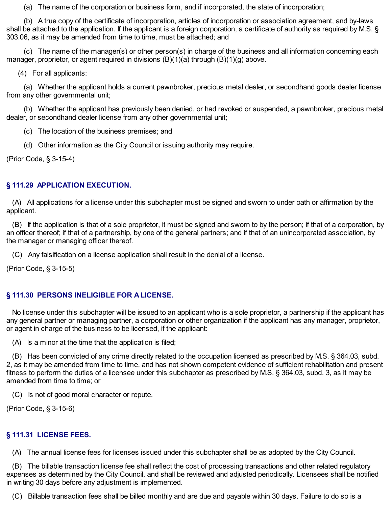(a) The name of the corporation or business form, and if incorporated, the state of incorporation;

(b) A true copy of the certificate of incorporation, articles of incorporation or association agreement, and by-laws shall be attached to the application. If the applicant is a foreign corporation, a certificate of authority as required by M.S. § 303.06, as it may be amended from time to time, must be attached; and

(c) The name of the manager(s) or other person(s) in charge of the business and all information concerning each manager, proprietor, or agent required in divisions (B)(1)(a) through (B)(1)(g) above.

(4) For all applicants:

(a) Whether the applicant holds a current pawnbroker, precious metal dealer, or secondhand goods dealer license from any other governmental unit;

(b) Whether the applicant has previously been denied, or had revoked or suspended, a pawnbroker, precious metal dealer, or secondhand dealer license from any other governmental unit;

- (c) The location of the business premises; and
- (d) Other information as the City Council or issuing authority may require.

(Prior Code, § 3-15-4)

# **§ 111.29 APPLICATION EXECUTION.**

(A) All applications for a license under this subchapter must be signed and sworn to under oath or affirmation by the applicant.

(B) If the application is that of a sole proprietor, it must be signed and sworn to by the person; if that of a corporation, by an officer thereof; if that of a partnership, by one of the general partners; and if that of an unincorporated association, by the manager or managing officer thereof.

(C) Any falsification on a license application shall result in the denial of a license.

(Prior Code, § 3-15-5)

# **§ 111.30 PERSONS INELIGIBLE FOR A LICENSE.**

No license under this subchapter will be issued to an applicant who is a sole proprietor, a partnership if the applicant has any general partner or managing partner, a corporation or other organization if the applicant has any manager, proprietor, or agent in charge of the business to be licensed, if the applicant:

(A) Is a minor at the time that the application is filed;

(B) Has been convicted of any crime directly related to the occupation licensed as prescribed by M.S. § 364.03, subd. 2, as it may be amended from time to time, and has not shown competent evidence of sufficient rehabilitation and present fitness to perform the duties of a licensee under this subchapter as prescribed by M.S. § 364.03, subd. 3, as it may be amended from time to time; or

(C) Is not of good moral character or repute.

(Prior Code, § 3-15-6)

# **§ 111.31 LICENSE FEES.**

(A) The annual license fees for licenses issued under this subchapter shall be as adopted by the City Council.

(B) The billable transaction license fee shall reflect the cost of processing transactions and other related regulatory expenses as determined by the City Council, and shall be reviewed and adjusted periodically. Licensees shall be notified in writing 30 days before any adjustment is implemented.

(C) Billable transaction fees shall be billed monthly and are due and payable within 30 days. Failure to do so is a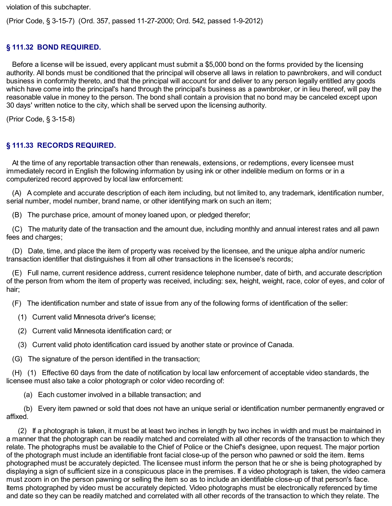violation of this subchapter.

(Prior Code, § 3-15-7) (Ord. 357, passed 11-27-2000; Ord. 542, passed 1-9-2012)

# **§ 111.32 BOND REQUIRED.**

Before a license will be issued, every applicant must submit a \$5,000 bond on the forms provided by the licensing authority. All bonds must be conditioned that the principal will observe all laws in relation to pawnbrokers, and will conduct business in conformity thereto, and that the principal will account for and deliver to any person legally entitled any goods which have come into the principal's hand through the principal's business as a pawnbroker, or in lieu thereof, will pay the reasonable value in money to the person. The bond shall contain a provision that no bond may be canceled except upon 30 days' written notice to the city, which shall be served upon the licensing authority.

(Prior Code, § 3-15-8)

# **§ 111.33 RECORDS REQUIRED.**

At the time of any reportable transaction other than renewals, extensions, or redemptions, every licensee must immediately record in English the following information by using ink or other indelible medium on forms or in a computerized record approved by local law enforcement:

(A) A complete and accurate description of each item including, but not limited to, any trademark, identification number, serial number, model number, brand name, or other identifying mark on such an item;

(B) The purchase price, amount of money loaned upon, or pledged therefor;

(C) The maturity date of the transaction and the amount due, including monthly and annual interest rates and all pawn fees and charges;

(D) Date, time, and place the item of property was received by the licensee, and the unique alpha and/or numeric transaction identifier that distinguishes it from all other transactions in the licensee's records;

(E) Full name, current residence address, current residence telephone number, date of birth, and accurate description of the person from whom the item of property was received, including: sex, height, weight, race, color of eyes, and color of hair;

(F) The identification number and state of issue from any of the following forms of identification of the seller:

- (1) Current valid Minnesota driver's license;
- (2) Current valid Minnesota identification card; or
- (3) Current valid photo identification card issued by another state or province of Canada.
- (G) The signature of the person identified in the transaction;

(H) (1) Effective 60 days from the date of notification by local law enforcement of acceptable video standards, the licensee must also take a color photograph or color video recording of:

(a) Each customer involved in a billable transaction; and

(b) Every item pawned or sold that does not have an unique serial or identification number permanently engraved or affixed.

(2) If a photograph is taken, it must be at least two inches in length by two inches in width and must be maintained in a manner that the photograph can be readily matched and correlated with all other records of the transaction to which they relate. The photographs must be available to the Chief of Police or the Chief's designee, upon request. The major portion of the photograph must include an identifiable front facial close-up of the person who pawned or sold the item. Items photographed must be accurately depicted. The licensee must inform the person that he or she is being photographed by displaying a sign of sufficient size in a conspicuous place in the premises. If a video photograph is taken, the video camera must zoom in on the person pawning or selling the item so as to include an identifiable close-up of that person's face. Items photographed by video must be accurately depicted. Video photographs must be electronically referenced by time and date so they can be readily matched and correlated with all other records of the transaction to which they relate. The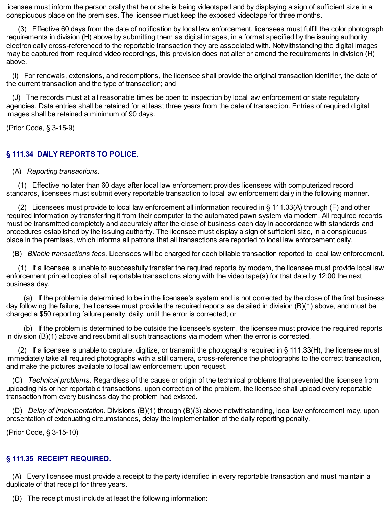licensee must inform the person orally that he or she is being videotaped and by displaying a sign of sufficient size in a conspicuous place on the premises. The licensee must keep the exposed videotape for three months.

(3) Effective 60 days from the date of notification by local law enforcement, licensees must fulfill the color photograph requirements in division (H) above by submitting them as digital images, in a format specified by the issuing authority, electronically cross-referenced to the reportable transaction they are associated with. Notwithstanding the digital images may be captured from required video recordings, this provision does not alter or amend the requirements in division (H) above.

(I) For renewals, extensions, and redemptions, the licensee shall provide the original transaction identifier, the date of the current transaction and the type of transaction; and

(J) The records must at all reasonable times be open to inspection by local law enforcement or state regulatory agencies. Data entries shall be retained for at least three years from the date of transaction. Entries of required digital images shall be retained a minimum of 90 days.

(Prior Code, § 3-15-9)

# **§ 111.34 DAILY REPORTS TO POLICE.**

#### (A) *Reporting transactions*.

(1) Effective no later than 60 days after local law enforcement provides licensees with computerized record standards, licensees must submit every reportable transaction to local law enforcement daily in the following manner.

(2) Licensees must provide to local law enforcement all information required in § 111.33(A) through (F) and other required information by transferring it from their computer to the automated pawn system via modem. All required records must be transmitted completely and accurately after the close of business each day in accordance with standards and procedures established by the issuing authority. The licensee must display a sign of sufficient size, in a conspicuous place in the premises, which informs all patrons that all transactions are reported to local law enforcement daily.

(B) *Billable transactions fees*. Licensees will be charged for each billable transaction reported to local law enforcement.

(1) If a licensee is unable to successfully transfer the required reports by modem, the licensee must provide local law enforcement printed copies of all reportable transactions along with the video tape(s) for that date by 12:00 the next business day.

(a) If the problem is determined to be in the licensee's system and is not corrected by the close of the first business day following the failure, the licensee must provide the required reports as detailed in division (B)(1) above, and must be charged a \$50 reporting failure penalty, daily, until the error is corrected; or

(b) If the problem is determined to be outside the licensee's system, the licensee must provide the required reports in division (B)(1) above and resubmit all such transactions via modem when the error is corrected.

(2) If a licensee is unable to capture, digitize, or transmit the photographs required in  $\S$  111.33(H), the licensee must immediately take all required photographs with a still camera, cross-reference the photographs to the correct transaction, and make the pictures available to local law enforcement upon request.

(C) *Technical problems*. Regardless of the cause or origin of the technical problems that prevented the licensee from uploading his or her reportable transactions, upon correction of the problem, the licensee shall upload every reportable transaction from every business day the problem had existed.

(D) *Delay of implementation*. Divisions (B)(1) through (B)(3) above notwithstanding, local law enforcement may, upon presentation of extenuating circumstances, delay the implementation of the daily reporting penalty.

(Prior Code, § 3-15-10)

#### **§ 111.35 RECEIPT REQUIRED.**

(A) Every licensee must provide a receipt to the party identified in every reportable transaction and must maintain a duplicate of that receipt for three years.

(B) The receipt must include at least the following information: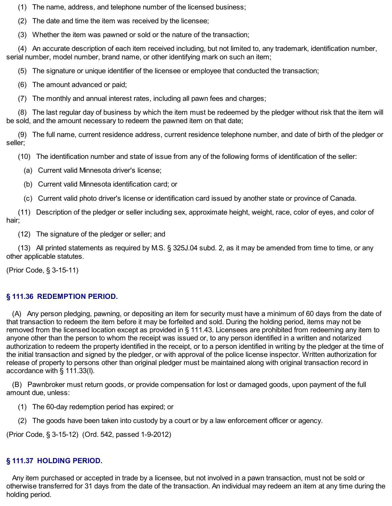(1) The name, address, and telephone number of the licensed business;

(2) The date and time the item was received by the licensee;

(3) Whether the item was pawned or sold or the nature of the transaction;

(4) An accurate description of each item received including, but not limited to, any trademark, identification number, serial number, model number, brand name, or other identifying mark on such an item;

(5) The signature or unique identifier of the licensee or employee that conducted the transaction;

(6) The amount advanced or paid;

(7) The monthly and annual interest rates, including all pawn fees and charges;

(8) The last regular day of business by which the item must be redeemed by the pledger without risk that the item will be sold, and the amount necessary to redeem the pawned item on that date;

(9) The full name, current residence address, current residence telephone number, and date of birth of the pledger or seller;

(10) The identification number and state of issue from any of the following forms of identification of the seller:

(a) Current valid Minnesota driver's license;

- (b) Current valid Minnesota identification card; or
- (c) Current valid photo driver's license or identification card issued by another state or province of Canada.

(11) Description of the pledger or seller including sex, approximate height, weight, race, color of eyes, and color of hair;

(12) The signature of the pledger or seller; and

(13) All printed statements as required by M.S. § 325J.04 subd. 2, as it may be amended from time to time, or any other applicable statutes.

(Prior Code, § 3-15-11)

# **§ 111.36 REDEMPTION PERIOD.**

(A) Any person pledging, pawning, or depositing an item for security must have a minimum of 60 days from the date of that transaction to redeem the item before it may be forfeited and sold. During the holding period, items may not be removed from the licensed location except as provided in § 111.43. Licensees are prohibited from redeeming any item to anyone other than the person to whom the receipt was issued or, to any person identified in a written and notarized authorization to redeem the property identified in the receipt, or to a person identified in writing by the pledger at the time of the initial transaction and signed by the pledger, or with approval of the police license inspector. Written authorization for release of property to persons other than original pledger must be maintained along with original transaction record in accordance with § 111.33(I).

(B) Pawnbroker must return goods, or provide compensation for lost or damaged goods, upon payment of the full amount due, unless:

- (1) The 60-day redemption period has expired; or
- (2) The goods have been taken into custody by a court or by a law enforcement officer or agency.

(Prior Code, § 3-15-12) (Ord. 542, passed 1-9-2012)

# **§ 111.37 HOLDING PERIOD.**

Any item purchased or accepted in trade by a licensee, but not involved in a pawn transaction, must not be sold or otherwise transferred for 31 days from the date of the transaction. An individual may redeem an item at any time during the holding period.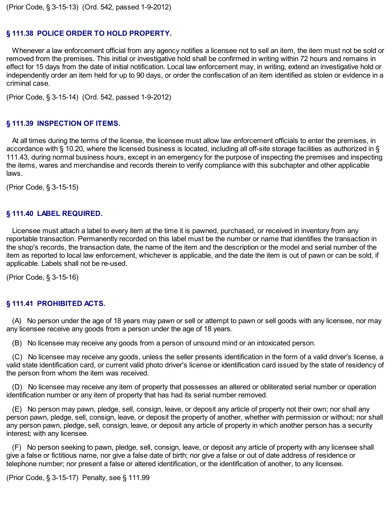# **§ 111.38 POLICE ORDER TO HOLD PROPERTY.**

Whenever a law enforcement official from any agency notifies a licensee not to sell an item, the item must not be sold or removed from the premises. This initial or investigative hold shall be confirmed in writing within 72 hours and remains in effect for 15 days from the date of initial notification. Local law enforcement may, in writing, extend an investigative hold or independently order an item held for up to 90 days, or order the confiscation of an item identified as stolen or evidence in a criminal case.

(Prior Code, § 3-15-14) (Ord. 542, passed 1-9-2012)

### **§ 111.39 INSPECTION OF ITEMS.**

At all times during the terms of the license, the licensee must allow law enforcement officials to enter the premises, in accordance with § 10.20, where the licensed business is located, including all off-site storage facilities as authorized in § 111.43, during normal business hours, except in an emergency for the purpose of inspecting the premises and inspecting the items, wares and merchandise and records therein to verify compliance with this subchapter and other applicable laws.

(Prior Code, § 3-15-15)

#### **§ 111.40 LABEL REQUIRED.**

Licensee must attach a label to every item at the time it is pawned, purchased, or received in inventory from any reportable transaction. Permanently recorded on this label must be the number or name that identifies the transaction in the shop's records, the transaction date, the name of the item and the description or the model and serial number of the item as reported to local law enforcement, whichever is applicable, and the date the item is out of pawn or can be sold, if applicable. Labels shall not be re-used.

(Prior Code, § 3-15-16)

#### **§ 111.41 PROHIBITED ACTS.**

(A) No person under the age of 18 years may pawn or sell or attempt to pawn or sell goods with any licensee, nor may any licensee receive any goods from a person under the age of 18 years.

(B) No licensee may receive any goods from a person of unsound mind or an intoxicated person.

(C) No licensee may receive any goods, unless the seller presents identification in the form of a valid driver's license, a valid state identification card, or current valid photo driver's license or identification card issued by the state of residency of the person from whom the item was received.

(D) No licensee may receive any item of property that possesses an altered or obliterated serial number or operation identification number or any item of property that has had its serial number removed.

(E) No person may pawn, pledge, sell, consign, leave, or deposit any article of property not their own; nor shall any person pawn, pledge, sell, consign, leave, or deposit the property of another, whether with permission or without; nor shall any person pawn, pledge, sell, consign, leave, or deposit any article of property in which another person has a security interest; with any licensee.

(F) No person seeking to pawn, pledge, sell, consign, leave, or deposit any article of property with any licensee shall give a false or fictitious name, nor give a false date of birth; nor give a false or out of date address of residence or telephone number; nor present a false or altered identification, or the identification of another, to any licensee.

(Prior Code, § 3-15-17) Penalty, see § 111.99